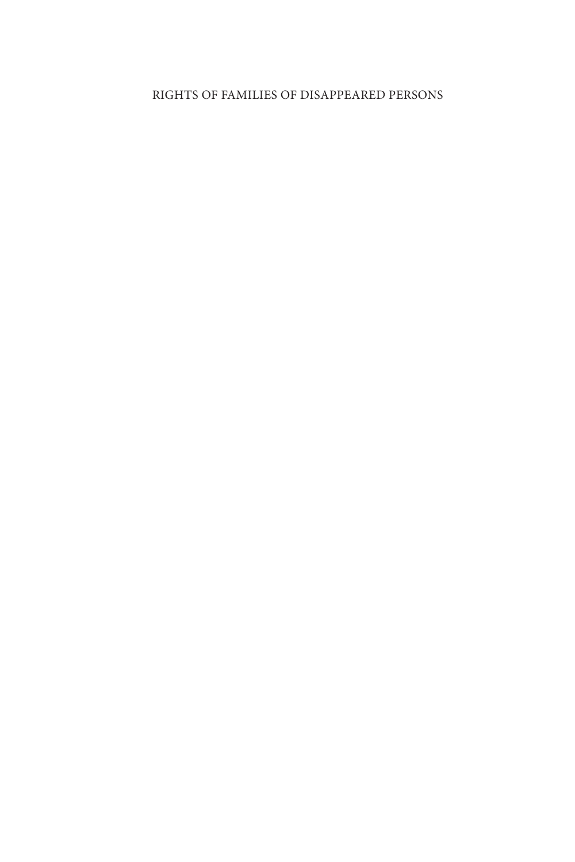### RIGHTS OF FAMILIES OF DISAPPEARED PERSONS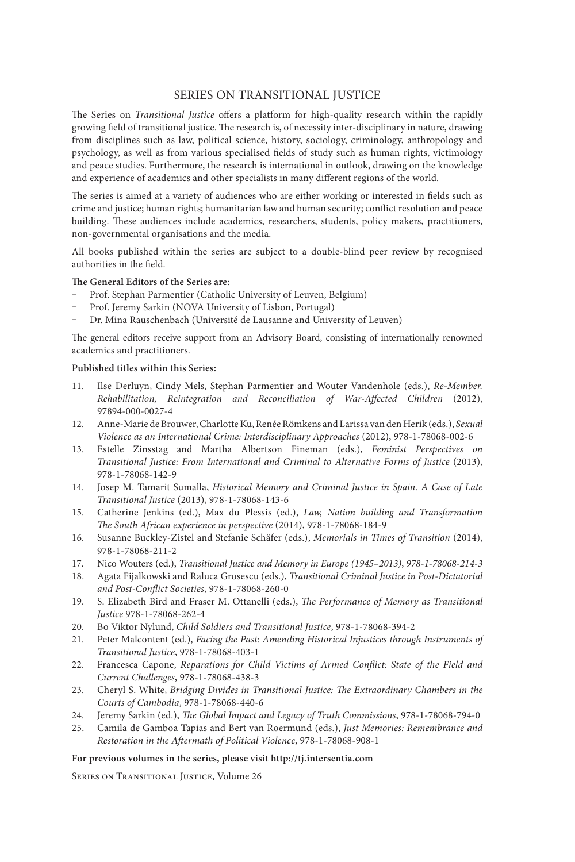#### SERIES ON TRANSITIONAL JUSTICE

The Series on *Transitional Justice* offers a platform for high-quality research within the rapidly growing field of transitional justice. The research is, of necessity inter-disciplinary in nature, drawing from disciplines such as law, political science, history, sociology, criminology, anthropology and psychology, as well as from various specialised fields of study such as human rights, victimology and peace studies. Furthermore, the research is international in outlook, drawing on the knowledge and experience of academics and other specialists in many different regions of the world.

The series is aimed at a variety of audiences who are either working or interested in fields such as crime and justice; human rights; humanitarian law and human security; conflict resolution and peace building. These audiences include academics, researchers, students, policy makers, practitioners, non-governmental organisations and the media.

 All books published within the series are subject to a double-blind peer review by recognised authorities in the field.

#### The General Editors of the Series are:

- Prof. Stephan Parmentier (Catholic University of Leuven, Belgium)
- Prof. Jeremy Sarkin (NOVA University of Lisbon, Portugal)
- Dr. Mina Rauschenbach (Université de Lausanne and University of Leuven)

The general editors receive support from an Advisory Board, consisting of internationally renowned academics and practitioners.

#### **Published titles within this Series:**

- 11. Ilse Derluyn, Cindy Mels, Stephan Parmentier and Wouter Vandenhole (eds.), *Re-Member.*  Rehabilitation, Reintegration and Reconciliation of War-Affected Children (2012), 97894-000-0027-4
- 12. Anne-Marie de Brouwer, Charlotte Ku, Renée Römkens and Larissa van den Herik (eds.), *Sexual Violence as an International Crime: Interdisciplinary Approaches* (2012), 978-1-78068-002-6
- 13. Estelle Zinsstag and Martha Albertson Fineman (eds.), *Feminist Perspectives on Transitional Justice: From International and Criminal to Alternative Forms of Justice* (2013), 978-1-78068-142-9
- 14. Josep M. Tamarit Sumalla, *Historical Memory and Criminal Justice in Spain. A Case of Late Transitional Justice* (2013), 978-1-78068-143-6
- 15. Catherine Jenkins (ed.), Max du Plessis (ed.), *Law, Nation building and Transformation*  The South African experience in perspective (2014), 978-1-78068-184-9
- 16. Susanne Buckley-Zistel and Stefanie Schäfer (eds.), *Memorials in Times of Transition* (2014), 978-1-78068-211-2
- 17. Nico Wouters (ed.), *Transitional Justice and Memory in Europe (1945–2013)* , *978-1-78068-214-3*
- 18. Agata Fijalkowski and Raluca Grosescu (eds.), *Transitional Criminal Justice in Post-Dictatorial and Post-Confl ict Societies* , 978-1-78068-260-0
- 19. S. Elizabeth Bird and Fraser M. Ottanelli (eds.), *The Performance of Memory as Transitional Justice* 978-1-78068-262-4
- 20. Bo Viktor Nylund, *Child Soldiers and Transitional Justice* , 978-1-78068-394-2
- 21. Peter Malcontent (ed.), *Facing the Past: Amending Historical Injustices through Instruments of Transitional Justice* , 978-1-78068-403-1
- 22. Francesca Capone, *Reparations for Child Victims of Armed Conflict: State of the Field and Current Challenges* , 978-1-78068-438-3
- 23. Cheryl S. White, *Bridging Divides in Transitional Justice: The Extraordinary Chambers in the Courts of Cambodia* , 978-1-78068-440-6
- 24. Jeremy Sarkin (ed.), *The Global Impact and Legacy of Truth Commissions*, 978-1-78068-794-0
- 25. Camila de Gamboa Tapias and Bert van Roermund (eds.), *Just Memories: Remembrance and*  Restoration in the Aftermath of Political Violence, 978-1-78068-908-1

#### **For previous volumes in the series, please visit http://tj.intersentia.com**

SERIES ON TRANSITIONAL JUSTICE, Volume 26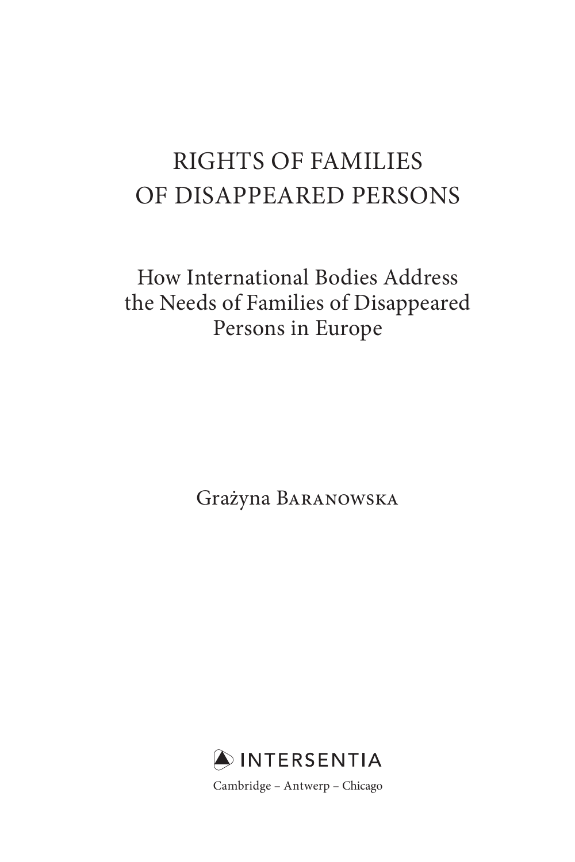# RIGHTS OF FAMILIES OF DISAPPEARED PERSONS

How International Bodies Address the Needs of Families of Disappeared Persons in Europe

Grażyna BARANOWSKA

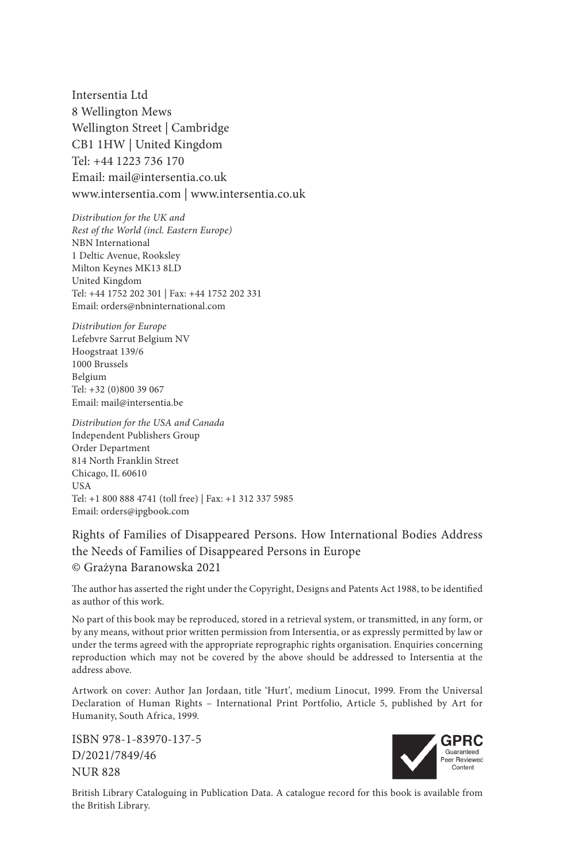Intersentia Ltd 8 Wellington Mews Wellington Street | Cambridge CB1 1HW | United Kingdom Tel: +44 1223 736 170 Email: mail@intersentia.co.uk www.intersentia.com | www.intersentia.co.uk

*Distribution for the UK and Rest of the World (incl. Eastern Europe)* NBN International 1 Deltic Avenue, Rooksley Milton Keynes MK13 8LD United Kingdom Tel: +44 1752 202 301 | Fax: +44 1752 202 331 Email: orders@nbninternational.com

*Distribution for Europe* Lefebvre Sarrut Belgium NV Hoogstraat 139/6 1000 Brussels Belgium Tel: +32 (0)800 39 067 Email: mail@intersentia.be

*Distribution for the USA and Canada* Independent Publishers Group Order Department 814 North Franklin Street Chicago, IL 60610 USA Tel: +1 800 888 4741 (toll free) | Fax: +1 312 337 5985 Email: orders@ipgbook.com

#### Rights of Families of Disappeared Persons. How International Bodies Address the Needs of Families of Disappeared Persons in Europe © Grażyna Baranowska 2021

The author has asserted the right under the Copyright, Designs and Patents Act 1988, to be identified as author of this work.

 No part of this book may be reproduced, stored in a retrieval system, or transmitted, in any form, or by any means, without prior written permission from Intersentia, or as expressly permitted by law or under the terms agreed with the appropriate reprographic rights organisation. Enquiries concerning reproduction which may not be covered by the above should be addressed to Intersentia at the address above.

 Artwork on cover: Author Jan Jordaan, title 'Hurt', medium Linocut, 1999. From the Universal Declaration of Human Rights – International Print Portfolio, Article 5, published by Art for Humanity, South Africa, 1999.

 ISBN 978-1-83970-137-5 D/2021/7849/46 NUR 828



 British Library Cataloguing in Publication Data. A catalogue record for this book is available from the British Library.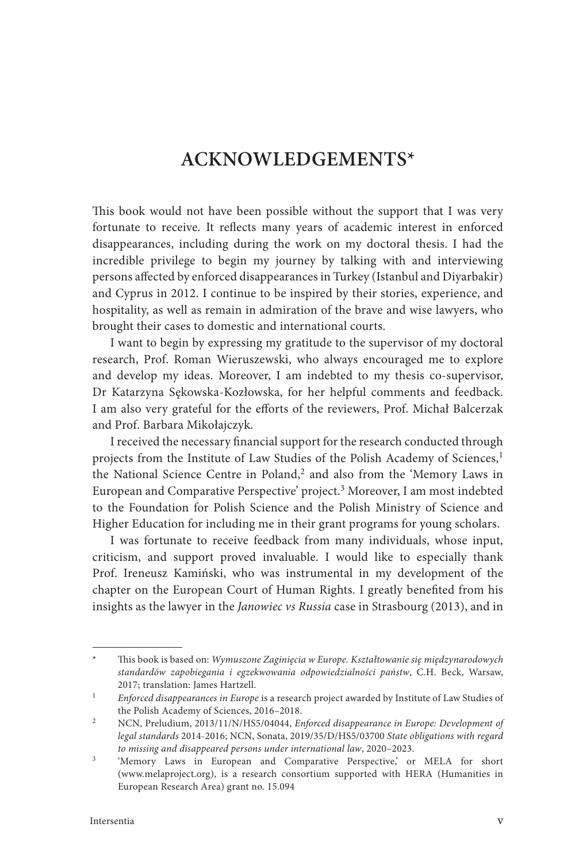## **ACKNOWLEDGEMENTS \***

This book would not have been possible without the support that I was very fortunate to receive. It reflects many years of academic interest in enforced disappearances, including during the work on my doctoral thesis. I had the incredible privilege to begin my journey by talking with and interviewing persons affected by enforced disappearances in Turkey (Istanbul and Diyarbakir) and Cyprus in 2012. I continue to be inspired by their stories, experience, and hospitality, as well as remain in admiration of the brave and wise lawyers, who brought their cases to domestic and international courts.

 I want to begin by expressing my gratitude to the supervisor of my doctoral research, Prof. Roman Wieruszewski, who always encouraged me to explore and develop my ideas. Moreover, I am indebted to my thesis co-supervisor, Dr Katarzyna Sękowska-Kozłowska, for her helpful comments and feedback. I am also very grateful for the efforts of the reviewers, Prof. Michał Balcerzak and Prof. Barbara Mikołajczyk.

I received the necessary financial support for the research conducted through projects from the Institute of Law Studies of the Polish Academy of Sciences,<sup>1</sup> the National Science Centre in Poland,<sup>2</sup> and also from the 'Memory Laws in European and Comparative Perspective' project.<sup>3</sup> Moreover, I am most indebted to the Foundation for Polish Science and the Polish Ministry of Science and Higher Education for including me in their grant programs for young scholars.

 I was fortunate to receive feedback from many individuals, whose input, criticism, and support proved invaluable. I would like to especially thank Prof. Ireneusz Kamiński, who was instrumental in my development of the chapter on the European Court of Human Rights. I greatly benefited from his insights as the lawyer in the *Janowiec vs Russia* case in Strasbourg (2013), and in

<sup>\*</sup> Th is book is based on: *Wymuszone Zaginięcia w Europe. Kształtowanie się międzynarodowych standardów zapobiegania i egzekwowania odpowiedzialności państw*, C.H. Beck, Warsaw, 2017; translation: James Hartzell. 1 *Enforced disappearances in Europe* is a research project awarded by Institute of Law Studies of

the Polish Academy of Sciences, 2016–2018. 2 NCN, Preludium, 2013/11/N/HS5/04044, *Enforced disappearance in Europe: Development of* 

*legal standards* 2014-2016; NCN, Sonata, 2019/35/D/HS5/03700 *State obligations with regard to missing and disappeared persons under international law*, 2020–2023.<br><sup>3</sup> 'Memory Laws in European and Comparative Perspective,' or MELA for short

<sup>(</sup> www.melaproject.org ), is a research consortium supported with HERA (Humanities in European Research Area) grant no. 15.094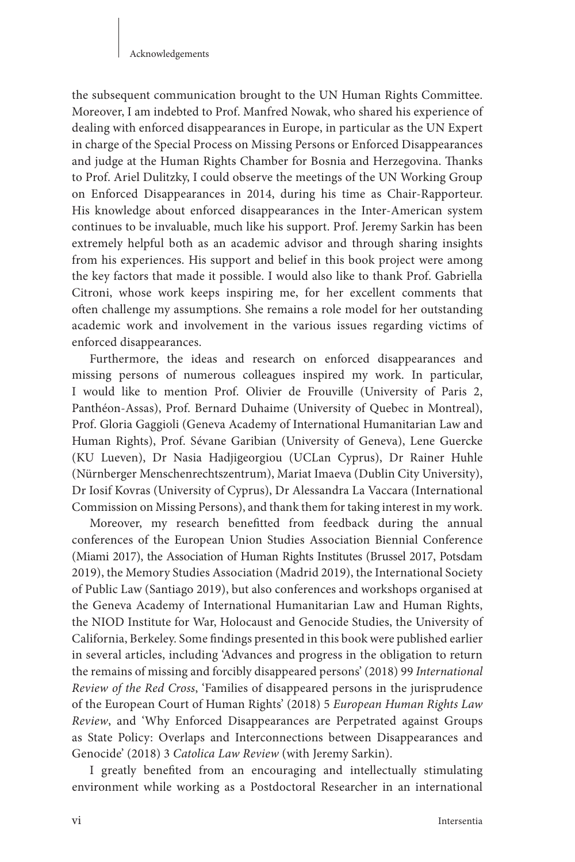#### Acknowledgements

the subsequent communication brought to the UN Human Rights Committee. Moreover, I am indebted to Prof. Manfred Nowak, who shared his experience of dealing with enforced disappearances in Europe, in particular as the UN Expert in charge of the Special Process on Missing Persons or Enforced Disappearances and judge at the Human Rights Chamber for Bosnia and Herzegovina. Thanks to Prof. Ariel Dulitzky, I could observe the meetings of the UN Working Group on Enforced Disappearances in 2014, during his time as Chair-Rapporteur. His knowledge about enforced disappearances in the Inter-American system continues to be invaluable, much like his support. Prof. Jeremy Sarkin has been extremely helpful both as an academic advisor and through sharing insights from his experiences. His support and belief in this book project were among the key factors that made it possible. I would also like to thank Prof. Gabriella Citroni, whose work keeps inspiring me, for her excellent comments that often challenge my assumptions. She remains a role model for her outstanding academic work and involvement in the various issues regarding victims of enforced disappearances.

 Furthermore, the ideas and research on enforced disappearances and missing persons of numerous colleagues inspired my work. In particular, I would like to mention Prof. Olivier de Frouville (University of Paris 2, Panthéon-Assas), Prof. Bernard Duhaime (University of Quebec in Montreal), Prof. Gloria Gaggioli (Geneva Academy of International Humanitarian Law and Human Rights), Prof. Sévane Garibian (University of Geneva), Lene Guercke (KU Lueven), Dr Nasia Hadjigeorgiou (UCLan Cyprus), Dr Rainer Huhle (Nürnberger Menschenrechtszentrum), Mariat Imaeva (Dublin City University), Dr Iosif Kovras (University of Cyprus), Dr Alessandra La Vaccara (International Commission on Missing Persons), and thank them for taking interest in my work.

Moreover, my research benefitted from feedback during the annual conferences of the European Union Studies Association Biennial Conference (Miami 2017), the Association of Human Rights Institutes (Brussel 2017, Potsdam 2019), the Memory Studies Association (Madrid 2019), the International Society of Public Law (Santiago 2019), but also conferences and workshops organised at the Geneva Academy of International Humanitarian Law and Human Rights, the NIOD Institute for War, Holocaust and Genocide Studies, the University of California, Berkeley. Some findings presented in this book were published earlier in several articles, including 'Advances and progress in the obligation to return the remains of missing and forcibly disappeared persons ' (2018) 99 *International Review of the Red Cross*, 'Families of disappeared persons in the jurisprudence of the European Court of Human Rights ' (2018) 5 *European Human Rights Law*  Review, and 'Why Enforced Disappearances are Perpetrated against Groups as State Policy: Overlaps and Interconnections between Disappearances and Genocide ' (2018) 3 *Catolica Law Review* (with Jeremy Sarkin).

I greatly benefited from an encouraging and intellectually stimulating environment while working as a Postdoctoral Researcher in an international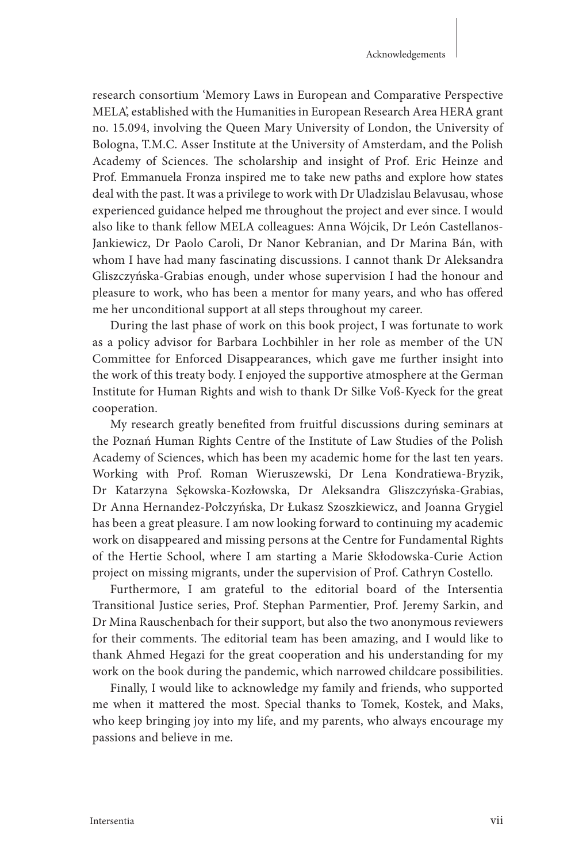research consortium 'Memory Laws in European and Comparative Perspective MELA, established with the Humanities in European Research Area HERA grant no. 15.094, involving the Queen Mary University of London, the University of Bologna, T.M.C. Asser Institute at the University of Amsterdam, and the Polish Academy of Sciences. The scholarship and insight of Prof. Eric Heinze and Prof. Emmanuela Fronza inspired me to take new paths and explore how states deal with the past. It was a privilege to work with Dr Uladzislau Belavusau, whose experienced guidance helped me throughout the project and ever since. I would also like to thank fellow MELA colleagues: Anna Wójcik, Dr León Castellanos-Jankiewicz, Dr Paolo Caroli, Dr Nanor Kebranian, and Dr Marina Bán, with whom I have had many fascinating discussions. I cannot thank Dr Aleksandra Gliszczyńska-Grabias enough, under whose supervision I had the honour and pleasure to work, who has been a mentor for many years, and who has offered me her unconditional support at all steps throughout my career.

 During the last phase of work on this book project, I was fortunate to work as a policy advisor for Barbara Lochbihler in her role as member of the UN Committee for Enforced Disappearances, which gave me further insight into the work of this treaty body. I enjoyed the supportive atmosphere at the German Institute for Human Rights and wish to thank Dr Silke Voß-Kyeck for the great cooperation.

My research greatly benefited from fruitful discussions during seminars at the Poznań Human Rights Centre of the Institute of Law Studies of the Polish Academy of Sciences, which has been my academic home for the last ten years. Working with Prof. Roman Wieruszewski, Dr Lena Kondratiewa-Bryzik, Dr Katarzyna Sękowska-Kozłowska, Dr Aleksandra Gliszczyńska-Grabias, Dr Anna Hernandez-Połczyńska, Dr Łukasz Szoszkiewicz, and Joanna Grygiel has been a great pleasure. I am now looking forward to continuing my academic work on disappeared and missing persons at the Centre for Fundamental Rights of the Hertie School, where I am starting a Marie Skłodowska-Curie Action project on missing migrants, under the supervision of Prof. Cathryn Costello.

 Furthermore, I am grateful to the editorial board of the Intersentia Transitional Justice series, Prof. Stephan Parmentier, Prof. Jeremy Sarkin, and Dr Mina Rauschenbach for their support, but also the two anonymous reviewers for their comments. The editorial team has been amazing, and I would like to thank Ahmed Hegazi for the great cooperation and his understanding for my work on the book during the pandemic, which narrowed childcare possibilities.

 Finally, I would like to acknowledge my family and friends, who supported me when it mattered the most. Special thanks to Tomek, Kostek, and Maks, who keep bringing joy into my life, and my parents, who always encourage my passions and believe in me.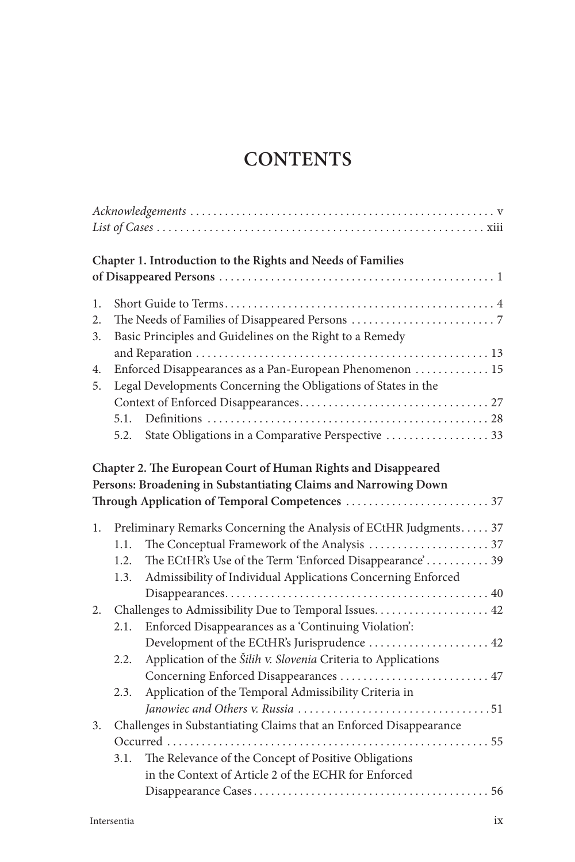## **CONTENTS**

|          |      | Chapter 1. Introduction to the Rights and Needs of Families                                                                |
|----------|------|----------------------------------------------------------------------------------------------------------------------------|
| 1.       |      |                                                                                                                            |
| 2.       |      |                                                                                                                            |
| 3.       |      | Basic Principles and Guidelines on the Right to a Remedy                                                                   |
|          |      |                                                                                                                            |
| 4.<br>5. |      | Enforced Disappearances as a Pan-European Phenomenon  15<br>Legal Developments Concerning the Obligations of States in the |
|          |      |                                                                                                                            |
|          | 5.1. |                                                                                                                            |
|          | 5.2. | State Obligations in a Comparative Perspective  33                                                                         |
|          |      | Chapter 2. The European Court of Human Rights and Disappeared                                                              |
|          |      | Persons: Broadening in Substantiating Claims and Narrowing Down                                                            |
| 1.       |      | Preliminary Remarks Concerning the Analysis of ECtHR Judgments 37                                                          |
|          | 1.1. |                                                                                                                            |
|          | 1.2. | The ECtHR's Use of the Term 'Enforced Disappearance'  39                                                                   |
|          | 1.3. | Admissibility of Individual Applications Concerning Enforced                                                               |
|          |      |                                                                                                                            |
| 2.       |      | Challenges to Admissibility Due to Temporal Issues 42                                                                      |
|          | 2.1. | Enforced Disappearances as a 'Continuing Violation':                                                                       |
|          |      | Development of the ECtHR's Jurisprudence  42                                                                               |
|          | 2.2. | Application of the Šilih v. Slovenia Criteria to Applications                                                              |
|          |      | Concerning Enforced Disappearances  47                                                                                     |
|          | 2.3. | Application of the Temporal Admissibility Criteria in                                                                      |
|          |      |                                                                                                                            |
| 3.       |      | Challenges in Substantiating Claims that an Enforced Disappearance                                                         |
|          |      |                                                                                                                            |
|          | 3.1. | The Relevance of the Concept of Positive Obligations<br>in the Context of Article 2 of the ECHR for Enforced               |
|          |      |                                                                                                                            |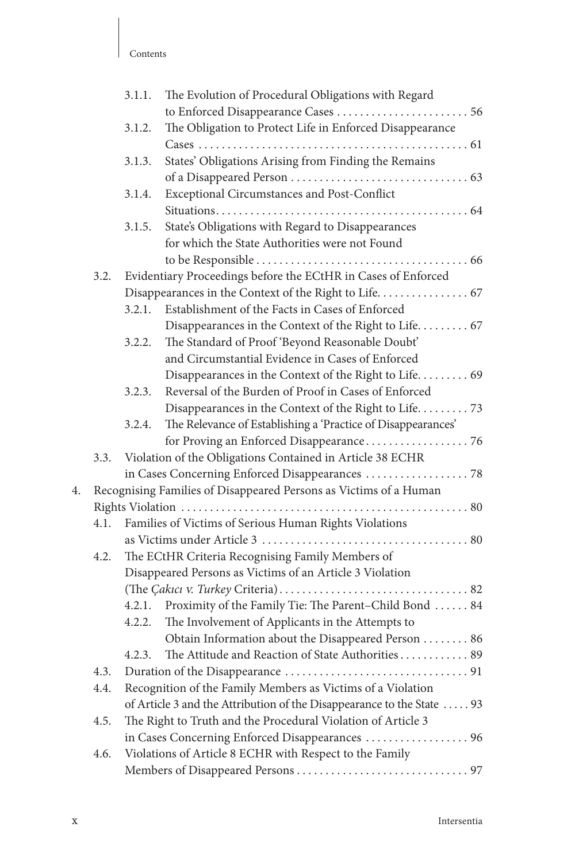|    |      | 3.1.1. | The Evolution of Procedural Obligations with Regard                    |
|----|------|--------|------------------------------------------------------------------------|
|    |      |        |                                                                        |
|    |      | 3.1.2. | The Obligation to Protect Life in Enforced Disappearance               |
|    |      |        |                                                                        |
|    |      | 3.1.3. | States' Obligations Arising from Finding the Remains                   |
|    |      |        |                                                                        |
|    |      | 3.1.4. | <b>Exceptional Circumstances and Post-Conflict</b>                     |
|    |      |        |                                                                        |
|    |      | 3.1.5. | State's Obligations with Regard to Disappearances                      |
|    |      |        | for which the State Authorities were not Found                         |
|    |      |        |                                                                        |
|    | 3.2. |        | Evidentiary Proceedings before the ECtHR in Cases of Enforced          |
|    |      |        | Disappearances in the Context of the Right to Life. 67                 |
|    |      | 3.2.1. | Establishment of the Facts in Cases of Enforced                        |
|    |      |        | Disappearances in the Context of the Right to Life 67                  |
|    |      | 3.2.2. | The Standard of Proof 'Beyond Reasonable Doubt'                        |
|    |      |        | and Circumstantial Evidence in Cases of Enforced                       |
|    |      |        | Disappearances in the Context of the Right to Life. 69                 |
|    |      | 3.2.3. | Reversal of the Burden of Proof in Cases of Enforced                   |
|    |      |        | Disappearances in the Context of the Right to Life 73                  |
|    |      | 3.2.4. | The Relevance of Establishing a 'Practice of Disappearances'           |
|    |      |        |                                                                        |
|    |      |        | 3.3. Violation of the Obligations Contained in Article 38 ECHR         |
|    |      |        | in Cases Concerning Enforced Disappearances  78                        |
| 4. |      |        | Recognising Families of Disappeared Persons as Victims of a Human      |
|    |      |        |                                                                        |
|    | 4.1. |        | Families of Victims of Serious Human Rights Violations                 |
|    |      |        |                                                                        |
|    | 4.2. |        | The ECtHR Criteria Recognising Family Members of                       |
|    |      |        | Disappeared Persons as Victims of an Article 3 Violation               |
|    |      |        |                                                                        |
|    |      |        | 4.2.1. Proximity of the Family Tie: The Parent-Child Bond  84          |
|    |      | 4.2.2. | The Involvement of Applicants in the Attempts to                       |
|    |      |        | Obtain Information about the Disappeared Person  86                    |
|    |      | 4.2.3. |                                                                        |
|    | 4.3. |        |                                                                        |
|    | 4.4. |        | Recognition of the Family Members as Victims of a Violation            |
|    |      |        | of Article 3 and the Attribution of the Disappearance to the State  93 |
|    | 4.5. |        | The Right to Truth and the Procedural Violation of Article 3           |
|    |      |        | in Cases Concerning Enforced Disappearances  96                        |
|    | 4.6. |        | Violations of Article 8 ECHR with Respect to the Family                |
|    |      |        |                                                                        |
|    |      |        |                                                                        |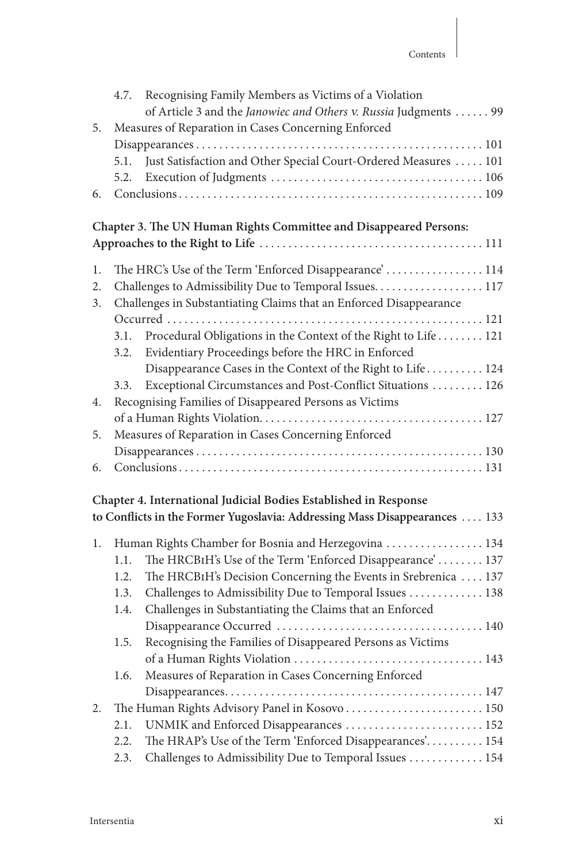|    |      | 4.7. Recognising Family Members as Victims of a Violation                                                               |
|----|------|-------------------------------------------------------------------------------------------------------------------------|
| 5. |      | of Article 3 and the Janowiec and Others v. Russia Judgments  99<br>Measures of Reparation in Cases Concerning Enforced |
|    |      |                                                                                                                         |
|    | 5.1. | Just Satisfaction and Other Special Court-Ordered Measures  101                                                         |
|    | 5.2. |                                                                                                                         |
|    |      |                                                                                                                         |
| 6. |      |                                                                                                                         |
|    |      | Chapter 3. The UN Human Rights Committee and Disappeared Persons:                                                       |
|    |      |                                                                                                                         |
|    |      |                                                                                                                         |
| 1. |      | The HRC's Use of the Term 'Enforced Disappearance'  114                                                                 |
| 2. |      | Challenges to Admissibility Due to Temporal Issues. 117                                                                 |
| 3. |      | Challenges in Substantiating Claims that an Enforced Disappearance                                                      |
|    |      |                                                                                                                         |
|    | 3.1. | Procedural Obligations in the Context of the Right to Life 121                                                          |
|    | 3.2. | Evidentiary Proceedings before the HRC in Enforced                                                                      |
|    |      | Disappearance Cases in the Context of the Right to Life 124                                                             |
|    | 3.3. | Exceptional Circumstances and Post-Conflict Situations  126                                                             |
| 4. |      | Recognising Families of Disappeared Persons as Victims                                                                  |
|    |      |                                                                                                                         |
| 5. |      | Measures of Reparation in Cases Concerning Enforced                                                                     |
|    |      |                                                                                                                         |
| 6. |      |                                                                                                                         |
|    |      | Chapter 4. International Judicial Bodies Established in Response                                                        |
|    |      | to Conflicts in the Former Yugoslavia: Addressing Mass Disappearances  133                                              |
|    |      |                                                                                                                         |
| 1. |      | Human Rights Chamber for Bosnia and Herzegovina  134                                                                    |
|    | 1.1. | The HRCBIH's Use of the Term 'Enforced Disappearance'  137                                                              |
|    | 1.2. | The HRCBIH's Decision Concerning the Events in Srebrenica  137                                                          |
|    | 1.3. | Challenges to Admissibility Due to Temporal Issues  138                                                                 |
|    | 1.4. | Challenges in Substantiating the Claims that an Enforced                                                                |
|    |      |                                                                                                                         |
|    | 1.5. | Recognising the Families of Disappeared Persons as Victims                                                              |
|    |      | of a Human Rights Violation<br>$\cdots \cdots \cdots 143$                                                               |
|    | 1.6. | Measures of Reparation in Cases Concerning Enforced                                                                     |
|    |      |                                                                                                                         |
| 2. |      | The Human Rights Advisory Panel in Kosovo  150                                                                          |
|    | 2.1. | UNMIK and Enforced Disappearances  152                                                                                  |
|    | 2.2. | The HRAP's Use of the Term 'Enforced Disappearances' 154                                                                |
|    | 2.3. | Challenges to Admissibility Due to Temporal Issues  154                                                                 |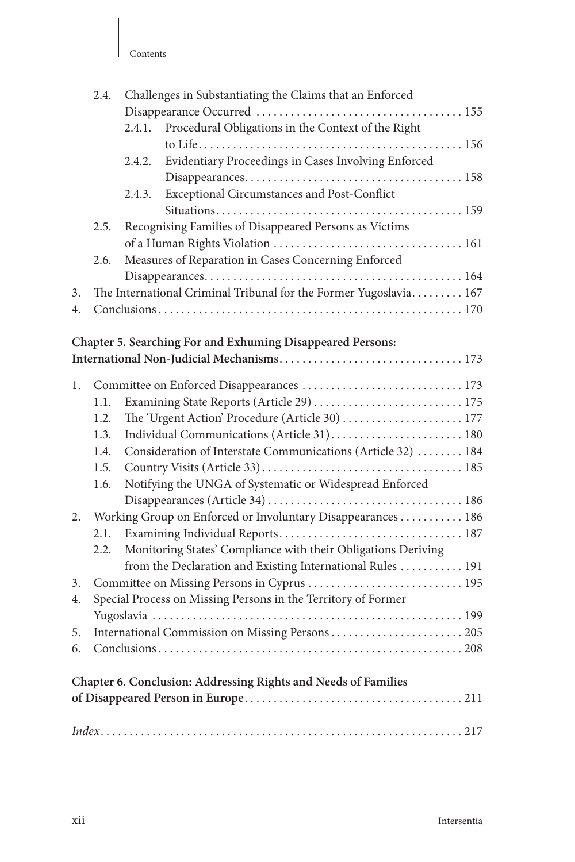|    | 2.4. |        | Challenges in Substantiating the Claims that an Enforced          |
|----|------|--------|-------------------------------------------------------------------|
|    |      |        |                                                                   |
|    |      | 2.4.1. | Procedural Obligations in the Context of the Right                |
|    |      |        |                                                                   |
|    |      | 2.4.2. | Evidentiary Proceedings in Cases Involving Enforced               |
|    |      |        |                                                                   |
|    |      | 2.4.3. | Exceptional Circumstances and Post-Conflict                       |
|    |      |        |                                                                   |
|    | 2.5. |        | Recognising Families of Disappeared Persons as Victims            |
|    |      |        |                                                                   |
|    | 2.6. |        | Measures of Reparation in Cases Concerning Enforced               |
|    |      |        |                                                                   |
| 3. |      |        | The International Criminal Tribunal for the Former Yugoslavia 167 |
| 4. |      |        |                                                                   |
|    |      |        |                                                                   |
|    |      |        | <b>Chapter 5. Searching For and Exhuming Disappeared Persons:</b> |
|    |      |        |                                                                   |
|    |      |        |                                                                   |
| 1. |      |        | Committee on Enforced Disappearances  173                         |
|    | 1.1. |        | Examining State Reports (Article 29)  175                         |
|    | 1.2. |        | The 'Urgent Action' Procedure (Article 30)  177                   |
|    | 1.3. |        | Individual Communications (Article 31) 180                        |
|    | 1.4. |        | Consideration of Interstate Communications (Article 32)  184      |
|    | 1.5. |        |                                                                   |
|    | 1.6. |        | Notifying the UNGA of Systematic or Widespread Enforced           |
|    |      |        |                                                                   |
| 2. |      |        | Working Group on Enforced or Involuntary Disappearances 186       |
|    | 2.1. |        | Examining Individual Reports 187                                  |
|    | 2.2. |        | Monitoring States' Compliance with their Obligations Deriving     |
|    |      |        | from the Declaration and Existing International Rules  191        |
| 3. |      |        | Committee on Missing Persons in Cyprus  195                       |
| 4. |      |        | Special Process on Missing Persons in the Territory of Former     |
|    |      |        |                                                                   |
| 5. |      |        |                                                                   |
| 6. |      |        |                                                                   |
|    |      |        |                                                                   |
|    |      |        | Chapter 6. Conclusion: Addressing Rights and Needs of Families    |
|    |      |        |                                                                   |
|    |      |        |                                                                   |
|    |      |        |                                                                   |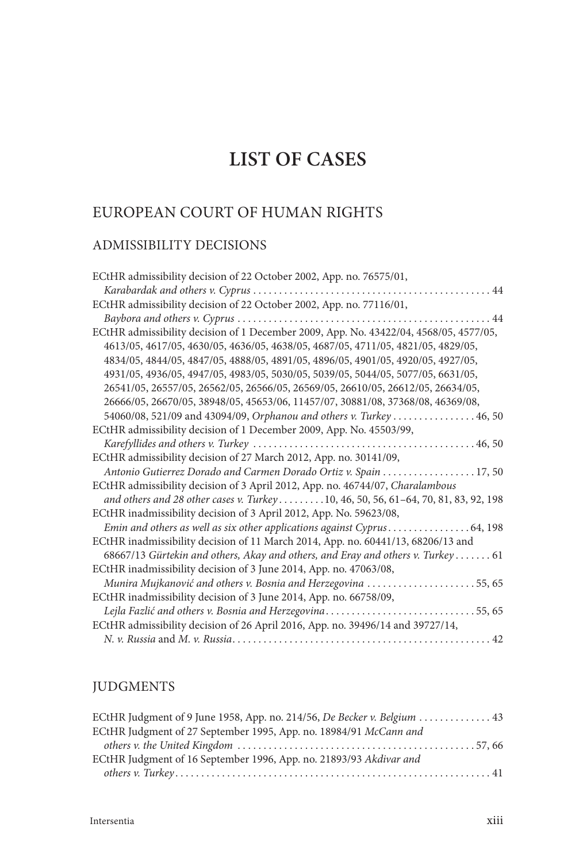## **LIST OF CASES**

### EUROPEAN COURT OF HUMAN RIGHTS

#### ADMISSIBILITY DECISIONS

| ECtHR admissibility decision of 22 October 2002, App. no. 76575/01,                   |
|---------------------------------------------------------------------------------------|
|                                                                                       |
| ECtHR admissibility decision of 22 October 2002, App. no. 77116/01,                   |
|                                                                                       |
| ECtHR admissibility decision of 1 December 2009, App. No. 43422/04, 4568/05, 4577/05, |
| 4613/05, 4617/05, 4630/05, 4636/05, 4638/05, 4687/05, 4711/05, 4821/05, 4829/05,      |
| 4834/05, 4844/05, 4847/05, 4888/05, 4891/05, 4896/05, 4901/05, 4920/05, 4927/05,      |
| 4931/05, 4936/05, 4947/05, 4983/05, 5030/05, 5039/05, 5044/05, 5077/05, 6631/05,      |
| 26541/05, 26557/05, 26562/05, 26566/05, 26569/05, 26610/05, 26612/05, 26634/05,       |
| 26666/05, 26670/05, 38948/05, 45653/06, 11457/07, 30881/08, 37368/08, 46369/08,       |
| 54060/08, 521/09 and 43094/09, Orphanou and others v. Turkey  46, 50                  |
| ECtHR admissibility decision of 1 December 2009, App. No. 45503/99,                   |
|                                                                                       |
| ECtHR admissibility decision of 27 March 2012, App. no. 30141/09,                     |
| Antonio Gutierrez Dorado and Carmen Dorado Ortiz v. Spain 17, 50                      |
| ECtHR admissibility decision of 3 April 2012, App. no. 46744/07, Charalambous         |
| and others and 28 other cases v. Turkey 10, 46, 50, 56, 61-64, 70, 81, 83, 92, 198    |
| ECtHR inadmissibility decision of 3 April 2012, App. No. 59623/08,                    |
|                                                                                       |
| ECtHR inadmissibility decision of 11 March 2014, App. no. 60441/13, 68206/13 and      |
| 68667/13 Gürtekin and others, Akay and others, and Eray and others v. Turkey  61      |
| ECtHR inadmissibility decision of 3 June 2014, App. no. 47063/08,                     |
| Munira Mujkanović and others v. Bosnia and Herzegovina 55, 65                         |
| ECtHR inadmissibility decision of 3 June 2014, App. no. 66758/09,                     |
| Lejla Fazlić and others v. Bosnia and Herzegovina55, 65                               |
| ECtHR admissibility decision of 26 April 2016, App. no. 39496/14 and 39727/14,        |
|                                                                                       |

#### JUDGMENTS

| ECtHR Judgment of 9 June 1958, App. no. 214/56, De Becker v. Belgium  43 |  |
|--------------------------------------------------------------------------|--|
| ECtHR Judgment of 27 September 1995, App. no. 18984/91 McCann and        |  |
|                                                                          |  |
| ECtHR Judgment of 16 September 1996, App. no. 21893/93 Akdivar and       |  |
|                                                                          |  |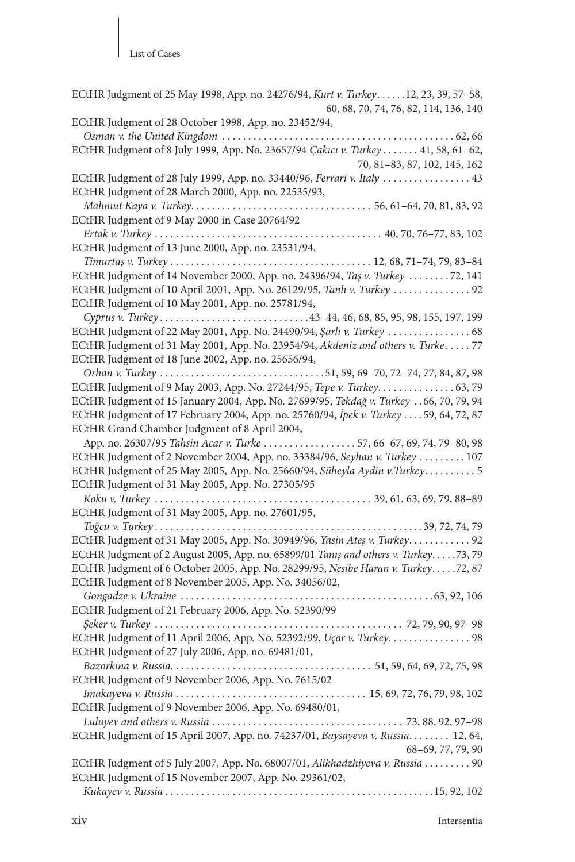| ECtHR Judgment of 25 May 1998, App. no. 24276/94, <i>Kurt v. Turkey</i> .12, 23, 39, 57–58,                                    |
|--------------------------------------------------------------------------------------------------------------------------------|
| 60, 68, 70, 74, 76, 82, 114, 136, 140                                                                                          |
| ECtHR Judgment of 28 October 1998, App. no. 23452/94,                                                                          |
|                                                                                                                                |
| ECtHR Judgment of 8 July 1999, App. No. 23657/94 Çakıcı v. Turkey  41, 58, 61-62,<br>70, 81-83, 87, 102, 145, 162              |
| ECtHR Judgment of 28 July 1999, App. no. 33440/96, Ferrari v. Italy  43                                                        |
| ECtHR Judgment of 28 March 2000, App. no. 22535/93,                                                                            |
|                                                                                                                                |
| ECtHR Judgment of 9 May 2000 in Case 20764/92                                                                                  |
| ECtHR Judgment of 13 June 2000, App. no. 23531/94,                                                                             |
|                                                                                                                                |
| ECtHR Judgment of 14 November 2000, App. no. 24396/94, Taş v. Turkey 72, 141                                                   |
| ECtHR Judgment of 10 April 2001, App. No. 26129/95, Tanlı v. Turkey  92<br>ECtHR Judgment of 10 May 2001, App. no. 25781/94,   |
| Cyprus v. Turkey43-44, 46, 68, 85, 95, 98, 155, 197, 199                                                                       |
| ECtHR Judgment of 22 May 2001, App. No. 24490/94, Şarlı v. Turkey  68                                                          |
| ECtHR Judgment of 31 May 2001, App. No. 23954/94, Akdeniz and others v. Turke77                                                |
| ECtHR Judgment of 18 June 2002, App. no. 25656/94,                                                                             |
|                                                                                                                                |
| ECtHR Judgment of 9 May 2003, App. No. 27244/95, Tepe v. Turkey63, 79                                                          |
| ECtHR Judgment of 15 January 2004, App. No. 27699/95, Tekdağ v. Turkey 66, 70, 79, 94                                          |
|                                                                                                                                |
| ECtHR Judgment of 17 February 2004, App. no. 25760/94, İpek v. Turkey 59, 64, 72, 87                                           |
| ECtHR Grand Chamber Judgment of 8 April 2004,                                                                                  |
| App. no. 26307/95 Tahsin Acar v. Turke 57, 66-67, 69, 74, 79-80, 98                                                            |
| ECtHR Judgment of 2 November 2004, App. no. 33384/96, Seyhan v. Turkey  107                                                    |
| ECtHR Judgment of 25 May 2005, App. No. 25660/94, Süheyla Aydin v.Turkey 5<br>ECtHR Judgment of 31 May 2005, App. No. 27305/95 |
|                                                                                                                                |
| ECtHR Judgment of 31 May 2005, App. no. 27601/95,                                                                              |
|                                                                                                                                |
| ECtHR Judgment of 31 May 2005, App. No. 30949/96, Yasin Ateş v. Turkey 92                                                      |
|                                                                                                                                |
| ECtHR Judgment of 2 August 2005, App. no. 65899/01 Tanış and others v. Turkey73, 79                                            |
| ECtHR Judgment of 6 October 2005, App. No. 28299/95, Nesibe Haran v. Turkey72, 87                                              |
| ECtHR Judgment of 8 November 2005, App. No. 34056/02,                                                                          |
|                                                                                                                                |
| ECtHR Judgment of 21 February 2006, App. No. 52390/99                                                                          |
|                                                                                                                                |
| ECtHR Judgment of 11 April 2006, App. No. 52392/99, Uçar v. Turkey 98                                                          |
| ECtHR Judgment of 27 July 2006, App. no. 69481/01,                                                                             |
|                                                                                                                                |
| ECtHR Judgment of 9 November 2006, App. No. 7615/02                                                                            |
|                                                                                                                                |
| ECtHR Judgment of 9 November 2006, App. No. 69480/01,                                                                          |
|                                                                                                                                |
| ECtHR Judgment of 15 April 2007, App. no. 74237/01, Baysayeva v. Russia. 12, 64,                                               |
| 68-69, 77, 79, 90                                                                                                              |
| ECtHR Judgment of 5 July 2007, App. No. 68007/01, Alikhadzhiyeva v. Russia  90                                                 |
| ECtHR Judgment of 15 November 2007, App. No. 29361/02,                                                                         |
|                                                                                                                                |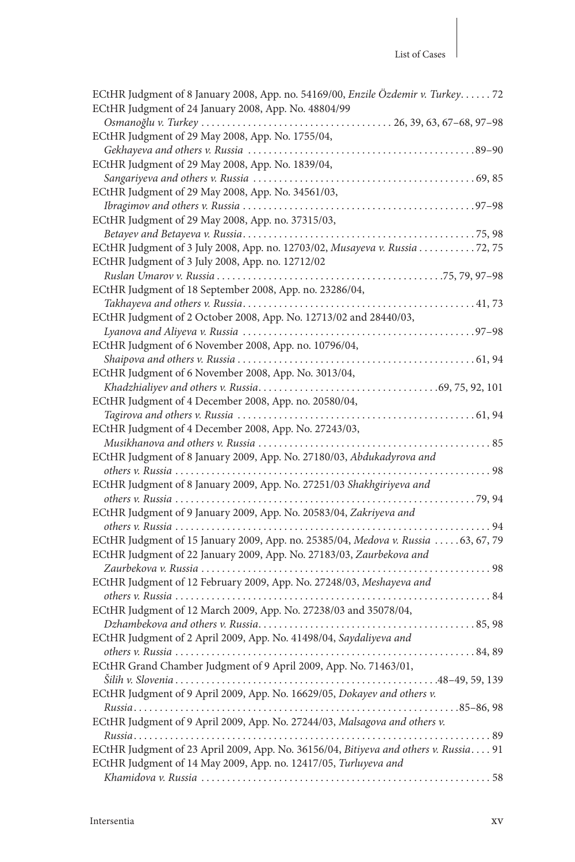| ECtHR Judgment of 8 January 2008, App. no. 54169/00, Enzile Özdemir v. Turkey 72     |
|--------------------------------------------------------------------------------------|
| ECtHR Judgment of 24 January 2008, App. No. 48804/99                                 |
|                                                                                      |
| ECtHR Judgment of 29 May 2008, App. No. 1755/04,                                     |
|                                                                                      |
| ECtHR Judgment of 29 May 2008, App. No. 1839/04,                                     |
|                                                                                      |
| ECtHR Judgment of 29 May 2008, App. No. 34561/03,                                    |
|                                                                                      |
| ECtHR Judgment of 29 May 2008, App. no. 37315/03,                                    |
|                                                                                      |
| ECtHR Judgment of 3 July 2008, App. no. 12703/02, Musayeva v. Russia 72, 75          |
| ECtHR Judgment of 3 July 2008, App. no. 12712/02                                     |
|                                                                                      |
| ECtHR Judgment of 18 September 2008, App. no. 23286/04,                              |
|                                                                                      |
|                                                                                      |
| ECtHR Judgment of 2 October 2008, App. No. 12713/02 and 28440/03,                    |
|                                                                                      |
| ECtHR Judgment of 6 November 2008, App. no. 10796/04,                                |
|                                                                                      |
| ECtHR Judgment of 6 November 2008, App. No. 3013/04,                                 |
|                                                                                      |
| ECtHR Judgment of 4 December 2008, App. no. 20580/04,                                |
|                                                                                      |
| ECtHR Judgment of 4 December 2008, App. No. 27243/03,                                |
|                                                                                      |
| ECtHR Judgment of 8 January 2009, App. No. 27180/03, Abdukadyrova and                |
|                                                                                      |
| ECtHR Judgment of 8 January 2009, App. No. 27251/03 Shakhgiriyeva and                |
|                                                                                      |
| ECtHR Judgment of 9 January 2009, App. No. 20583/04, Zakriyeva and                   |
|                                                                                      |
| ECtHR Judgment of 15 January 2009, App. no. 25385/04, Medova v. Russia  63, 67, 79   |
| ECtHR Judgment of 22 January 2009, App. No. 27183/03, Zaurbekova and                 |
| . 98                                                                                 |
| ECtHR Judgment of 12 February 2009, App. No. 27248/03, Meshayeva and                 |
|                                                                                      |
| ECtHR Judgment of 12 March 2009, App. No. 27238/03 and 35078/04,                     |
|                                                                                      |
| ECtHR Judgment of 2 April 2009, App. No. 41498/04, Saydaliyeva and                   |
|                                                                                      |
|                                                                                      |
| ECtHR Grand Chamber Judgment of 9 April 2009, App. No. 71463/01,                     |
|                                                                                      |
| ECtHR Judgment of 9 April 2009, App. No. 16629/05, Dokayev and others v.             |
|                                                                                      |
| ECtHR Judgment of 9 April 2009, App. No. 27244/03, Malsagova and others v.           |
|                                                                                      |
| ECtHR Judgment of 23 April 2009, App. No. 36156/04, Bitiyeva and others v. Russia 91 |
| ECtHR Judgment of 14 May 2009, App. no. 12417/05, Turluyeva and                      |
|                                                                                      |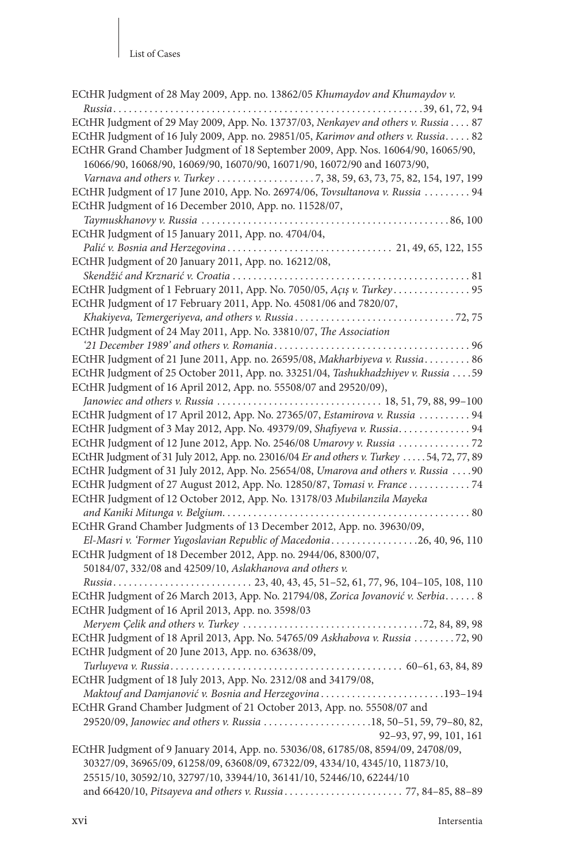| ECtHR Judgment of 28 May 2009, App. no. 13862/05 Khumaydov and Khumaydov v.               |
|-------------------------------------------------------------------------------------------|
|                                                                                           |
| ECtHR Judgment of 29 May 2009, App. No. 13737/03, Nenkayev and others v. Russia 87        |
| ECtHR Judgment of 16 July 2009, App. no. 29851/05, Karimov and others v. Russia 82        |
| ECtHR Grand Chamber Judgment of 18 September 2009, App. Nos. 16064/90, 16065/90,          |
| 16066/90, 16068/90, 16069/90, 16070/90, 16071/90, 16072/90 and 16073/90,                  |
| Varnava and others v. Turkey 7, 38, 59, 63, 73, 75, 82, 154, 197, 199                     |
| ECtHR Judgment of 17 June 2010, App. No. 26974/06, Tovsultanova v. Russia  94             |
| ECtHR Judgment of 16 December 2010, App. no. 11528/07,                                    |
|                                                                                           |
| ECtHR Judgment of 15 January 2011, App. no. 4704/04,                                      |
|                                                                                           |
| ECtHR Judgment of 20 January 2011, App. no. 16212/08,                                     |
|                                                                                           |
| ECtHR Judgment of 1 February 2011, App. No. 7050/05, Açış v. Turkey 95                    |
| ECtHR Judgment of 17 February 2011, App. No. 45081/06 and 7820/07,                        |
|                                                                                           |
| ECtHR Judgment of 24 May 2011, App. No. 33810/07, The Association                         |
|                                                                                           |
| ECtHR Judgment of 21 June 2011, App. no. 26595/08, Makharbiyeva v. Russia 86              |
| ECtHR Judgment of 25 October 2011, App. no. 33251/04, Tashukhadzhiyev v. Russia  . 59     |
| ECtHR Judgment of 16 April 2012, App. no. 55508/07 and 29520/09),                         |
|                                                                                           |
| ECtHR Judgment of 17 April 2012, App. No. 27365/07, Estamirova v. Russia  94              |
| ECtHR Judgment of 3 May 2012, App. No. 49379/09, Shafiyeva v. Russia. 94                  |
| ECtHR Judgment of 12 June 2012, App. No. 2546/08 Umarovy v. Russia  72                    |
| ECtHR Judgment of 31 July 2012, App. no. 23016/04 Er and others v. Turkey  54, 72, 77, 89 |
| ECtHR Judgment of 31 July 2012, App. No. 25654/08, Umarova and others v. Russia 90        |
| ECtHR Judgment of 27 August 2012, App. No. 12850/87, Tomasi v. France 74                  |
| ECtHR Judgment of 12 October 2012, App. No. 13178/03 Mubilanzila Mayeka                   |
|                                                                                           |
| ECtHR Grand Chamber Judgments of 13 December 2012, App. no. 39630/09,                     |
| El-Masri v. 'Former Yugoslavian Republic of Macedonia26, 40, 96, 110                      |
| ECtHR Judgment of 18 December 2012, App. no. 2944/06, 8300/07,                            |
| 50184/07, 332/08 and 42509/10, Aslakhanova and others v.                                  |
|                                                                                           |
| ECtHR Judgment of 26 March 2013, App. No. 21794/08, Zorica Jovanović v. Serbia 8          |
| ECtHR Judgment of 16 April 2013, App. no. 3598/03                                         |
|                                                                                           |
| ECtHR Judgment of 18 April 2013, App. No. 54765/09 Askhabova v. Russia 72, 90             |
| ECtHR Judgment of 20 June 2013, App. no. 63638/09,                                        |
|                                                                                           |
| ECtHR Judgment of 18 July 2013, App. No. 2312/08 and 34179/08,                            |
| Maktouf and Damjanović v. Bosnia and Herzegovina193-194                                   |
| ECtHR Grand Chamber Judgment of 21 October 2013, App. no. 55508/07 and                    |
| 29520/09, Janowiec and others v. Russia 18, 50-51, 59, 79-80, 82,                         |
| 92-93, 97, 99, 101, 161                                                                   |
| ECtHR Judgment of 9 January 2014, App. no. 53036/08, 61785/08, 8594/09, 24708/09,         |
| 30327/09, 36965/09, 61258/09, 63608/09, 67322/09, 4334/10, 4345/10, 11873/10,             |
| 25515/10, 30592/10, 32797/10, 33944/10, 36141/10, 52446/10, 62244/10                      |
|                                                                                           |
|                                                                                           |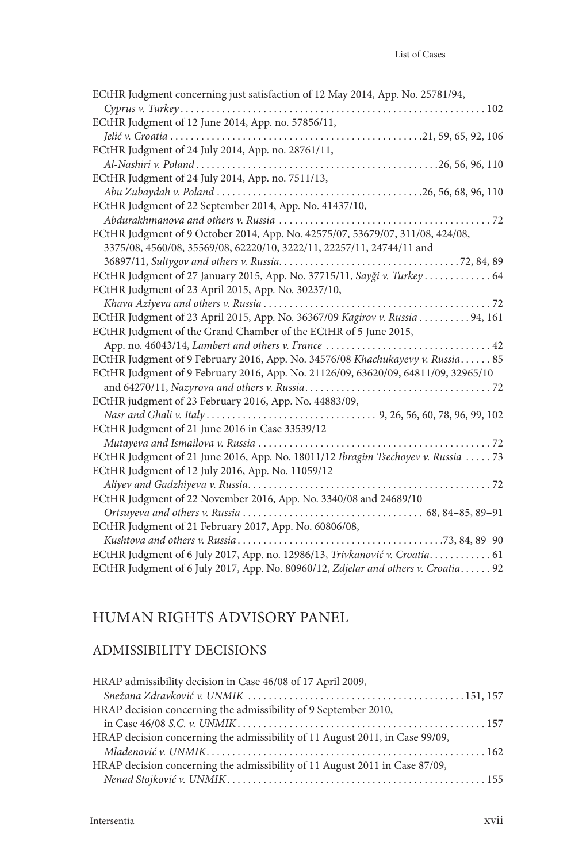| ECtHR Judgment concerning just satisfaction of 12 May 2014, App. No. 25781/94,     |
|------------------------------------------------------------------------------------|
| ECtHR Judgment of 12 June 2014, App. no. 57856/11,                                 |
|                                                                                    |
| ECtHR Judgment of 24 July 2014, App. no. 28761/11,                                 |
|                                                                                    |
| ECtHR Judgment of 24 July 2014, App. no. 7511/13,                                  |
|                                                                                    |
| ECtHR Judgment of 22 September 2014, App. No. 41437/10,                            |
|                                                                                    |
|                                                                                    |
| ECtHR Judgment of 9 October 2014, App. No. 42575/07, 53679/07, 311/08, 424/08,     |
| 3375/08, 4560/08, 35569/08, 62220/10, 3222/11, 22257/11, 24744/11 and              |
|                                                                                    |
| ECtHR Judgment of 27 January 2015, App. No. 37715/11, Sayği v. Turkey 64           |
| ECtHR Judgment of 23 April 2015, App. No. 30237/10,                                |
|                                                                                    |
| ECtHR Judgment of 23 April 2015, App. No. 36367/09 Kagirov v. Russia 94, 161       |
| ECtHR Judgment of the Grand Chamber of the ECtHR of 5 June 2015,                   |
|                                                                                    |
| ECtHR Judgment of 9 February 2016, App. No. 34576/08 Khachukayevy v. Russia 85     |
| ECtHR Judgment of 9 February 2016, App. No. 21126/09, 63620/09, 64811/09, 32965/10 |
|                                                                                    |
| ECtHR judgment of 23 February 2016, App. No. 44883/09,                             |
|                                                                                    |
| ECtHR Judgment of 21 June 2016 in Case 33539/12                                    |
|                                                                                    |
| ECtHR Judgment of 21 June 2016, App. No. 18011/12 Ibragim Tsechoyev v. Russia  73  |
| ECtHR Judgment of 12 July 2016, App. No. 11059/12<br>. 72                          |
|                                                                                    |
| ECtHR Judgment of 22 November 2016, App. No. 3340/08 and 24689/10                  |
|                                                                                    |
| ECtHR Judgment of 21 February 2017, App. No. 60806/08,                             |
|                                                                                    |
| ECtHR Judgment of 6 July 2017, App. no. 12986/13, Trivkanović v. Croatia. 61       |
| ECtHR Judgment of 6 July 2017, App. No. 80960/12, Zdjelar and others v. Croatia 92 |

### HUMAN RIGHTS ADVISORY PANEL

#### ADMISSIBILITY DECISIONS

| HRAP admissibility decision in Case 46/08 of 17 April 2009,                  |  |
|------------------------------------------------------------------------------|--|
|                                                                              |  |
| HRAP decision concerning the admissibility of 9 September 2010,              |  |
|                                                                              |  |
| HRAP decision concerning the admissibility of 11 August 2011, in Case 99/09, |  |
|                                                                              |  |
| HRAP decision concerning the admissibility of 11 August 2011 in Case 87/09,  |  |
|                                                                              |  |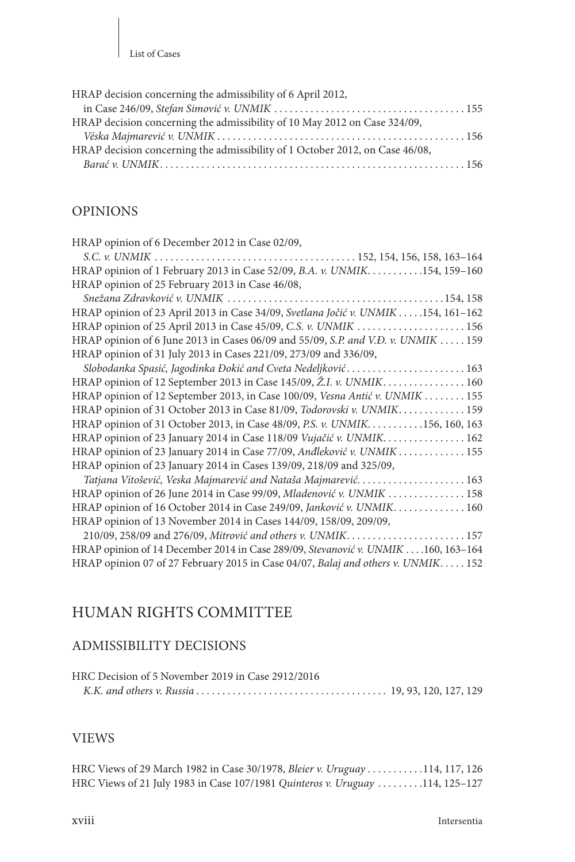| HRAP decision concerning the admissibility of 6 April 2012,                  |  |
|------------------------------------------------------------------------------|--|
|                                                                              |  |
| HRAP decision concerning the admissibility of 10 May 2012 on Case 324/09,    |  |
|                                                                              |  |
| HRAP decision concerning the admissibility of 1 October 2012, on Case 46/08, |  |
|                                                                              |  |

#### OPINIONS

| HRAP opinion of 6 December 2012 in Case 02/09,                                      |
|-------------------------------------------------------------------------------------|
|                                                                                     |
| HRAP opinion of 1 February 2013 in Case 52/09, B.A. v. UNMIK. 154, 159-160          |
| HRAP opinion of 25 February 2013 in Case 46/08,                                     |
|                                                                                     |
| HRAP opinion of 23 April 2013 in Case 34/09, Svetlana Jočić v. UNMIK 154, 161-162   |
|                                                                                     |
| HRAP opinion of 6 June 2013 in Cases 06/09 and 55/09, S.P. and V.D. v. UNMIK 159    |
| HRAP opinion of 31 July 2013 in Cases 221/09, 273/09 and 336/09,                    |
| Slobodanka Spasić, Jagodinka Đokić and Cveta Nedeljković 163                        |
|                                                                                     |
| HRAP opinion of 12 September 2013, in Case 100/09, Vesna Antić v. UNMIK 155         |
| HRAP opinion of 31 October 2013 in Case 81/09, Todorovski v. UNMIK 159              |
| HRAP opinion of 31 October 2013, in Case 48/09, <i>P.S. v. UNMIK.</i> 156, 160, 163 |
| HRAP opinion of 23 January 2014 in Case 118/09 Vujačić v. UNMIK 162                 |
| HRAP opinion of 23 January 2014 in Case 77/09, Andleković v. UNMIK 155              |
| HRAP opinion of 23 January 2014 in Cases 139/09, 218/09 and 325/09,                 |
| Tatjana Vitošević, Veska Majmarević and Nataša Majmarević 163                       |
| HRAP opinion of 26 June 2014 in Case 99/09, Mladenović v. UNMIK  158                |
| HRAP opinion of 16 October 2014 in Case 249/09, Janković v. UNMIK 160               |
| HRAP opinion of 13 November 2014 in Cases 144/09, 158/09, 209/09,                   |
| 210/09, 258/09 and 276/09, Mitrović and others v. UNMIK 157                         |
| HRAP opinion of 14 December 2014 in Case 289/09, Stevanović v. UNMIK 160, 163-164   |
| HRAP opinion 07 of 27 February 2015 in Case 04/07, Balaj and others v. UNMIK 152    |

### HUMAN RIGHTS COMMITTEE

#### ADMISSIBILITY DECISIONS

| HRC Decision of 5 November 2019 in Case 2912/2016 |  |
|---------------------------------------------------|--|
|                                                   |  |

#### VIEWS

 HRC Views of 29 March 1982 in Case 30/1978, *Bleier v. Uruguay* . . . . . . . . . . . 114 , 117 , 126 HRC Views of 21 July 1983 in Case 107/1981 *Quinteros v. Uruguay* . . . . . . . . . 114 , 125 – 127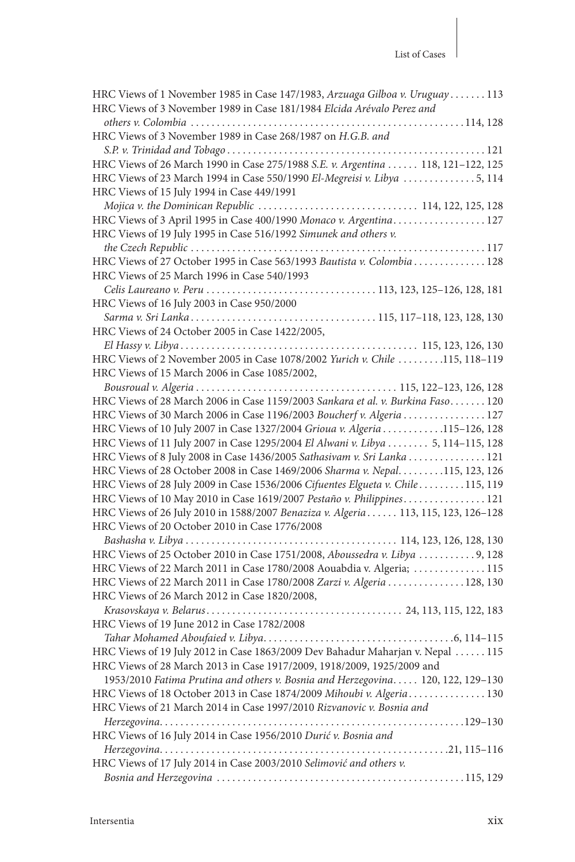| HRC Views of 1 November 1985 in Case 147/1983, Arzuaga Gilboa v. Uruguay113       |
|-----------------------------------------------------------------------------------|
| HRC Views of 3 November 1989 in Case 181/1984 Elcida Arévalo Perez and            |
|                                                                                   |
| HRC Views of 3 November 1989 in Case 268/1987 on H.G.B. and                       |
|                                                                                   |
| HRC Views of 26 March 1990 in Case 275/1988 S.E. v. Argentina  118, 121-122, 125  |
| HRC Views of 23 March 1994 in Case 550/1990 El-Megreisi v. Libya 5, 114           |
| HRC Views of 15 July 1994 in Case 449/1991                                        |
|                                                                                   |
| HRC Views of 3 April 1995 in Case 400/1990 Monaco v. Argentina 127                |
| HRC Views of 19 July 1995 in Case 516/1992 Simunek and others v.                  |
|                                                                                   |
| HRC Views of 27 October 1995 in Case 563/1993 Bautista v. Colombia 128            |
| HRC Views of 25 March 1996 in Case 540/1993                                       |
|                                                                                   |
| HRC Views of 16 July 2003 in Case 950/2000                                        |
|                                                                                   |
| HRC Views of 24 October 2005 in Case 1422/2005,                                   |
|                                                                                   |
| HRC Views of 2 November 2005 in Case 1078/2002 Yurich v. Chile 115, 118-119       |
| HRC Views of 15 March 2006 in Case 1085/2002,                                     |
|                                                                                   |
| HRC Views of 28 March 2006 in Case 1159/2003 Sankara et al. v. Burkina Faso. 120  |
| HRC Views of 30 March 2006 in Case 1196/2003 Boucherf v. Algeria 127              |
| HRC Views of 10 July 2007 in Case 1327/2004 Grioua v. Algeria115-126, 128         |
| HRC Views of 11 July 2007 in Case 1295/2004 El Alwani v. Libya  5, 114-115, 128   |
| HRC Views of 8 July 2008 in Case 1436/2005 Sathasivam v. Sri Lanka 121            |
| HRC Views of 28 October 2008 in Case 1469/2006 Sharma v. Nepal115, 123, 126       |
| HRC Views of 28 July 2009 in Case 1536/2006 Cifuentes Elgueta v. Chile 115, 119   |
| HRC Views of 10 May 2010 in Case 1619/2007 Pestaño v. Philippines 121             |
| HRC Views of 26 July 2010 in 1588/2007 Benaziza v. Algeria 113, 115, 123, 126-128 |
| HRC Views of 20 October 2010 in Case 1776/2008                                    |
|                                                                                   |
| HRC Views of 25 October 2010 in Case 1751/2008, Aboussedra v. Libya  9, 128       |
| HRC Views of 22 March 2011 in Case 1780/2008 Aouabdia v. Algeria; 115             |
| HRC Views of 22 March 2011 in Case 1780/2008 Zarzi v. Algeria 128, 130            |
| HRC Views of 26 March 2012 in Case 1820/2008,                                     |
|                                                                                   |
| HRC Views of 19 June 2012 in Case 1782/2008                                       |
|                                                                                   |
| HRC Views of 19 July 2012 in Case 1863/2009 Dev Bahadur Maharjan v. Nepal  115    |
| HRC Views of 28 March 2013 in Case 1917/2009, 1918/2009, 1925/2009 and            |
| 1953/2010 Fatima Prutina and others v. Bosnia and Herzegovina 120, 122, 129-130   |
| HRC Views of 18 October 2013 in Case 1874/2009 Mihoubi v. Algeria 130             |
| HRC Views of 21 March 2014 in Case 1997/2010 Rizvanovic v. Bosnia and             |
|                                                                                   |
| HRC Views of 16 July 2014 in Case 1956/2010 Durić v. Bosnia and                   |
|                                                                                   |
| HRC Views of 17 July 2014 in Case 2003/2010 Selimović and others v.               |
|                                                                                   |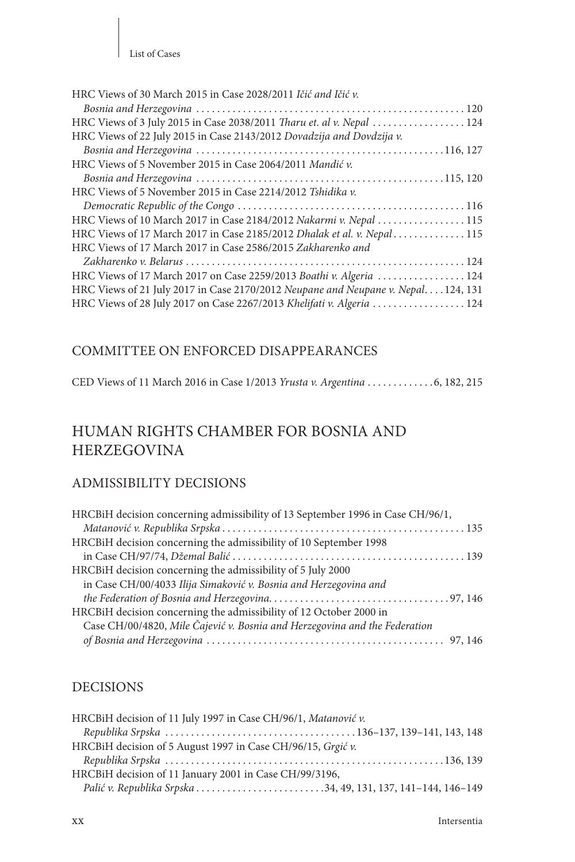| HRC Views of 30 March 2015 in Case 2028/2011 Ičić and Ičić v.                    |
|----------------------------------------------------------------------------------|
|                                                                                  |
|                                                                                  |
| HRC Views of 22 July 2015 in Case 2143/2012 Dovadzija and Dovdzija v.            |
|                                                                                  |
| HRC Views of 5 November 2015 in Case 2064/2011 Mandić v.                         |
|                                                                                  |
| HRC Views of 5 November 2015 in Case 2214/2012 Tshidika v.                       |
|                                                                                  |
| HRC Views of 10 March 2017 in Case 2184/2012 Nakarmi v. Nepal  115               |
| HRC Views of 17 March 2017 in Case 2185/2012 Dhalak et al. v. Nepal115           |
| HRC Views of 17 March 2017 in Case 2586/2015 Zakharenko and                      |
|                                                                                  |
| HRC Views of 17 March 2017 on Case 2259/2013 Boathi v. Algeria  124              |
| HRC Views of 21 July 2017 in Case 2170/2012 Neupane and Neupane v. Nepal124, 131 |
| HRC Views of 28 July 2017 on Case 2267/2013 Khelifati v. Algeria  124            |

#### COMMITTEE ON ENFORCED DISAPPEARANCES

CED Views of 11 March 2016 in Case 1/2013 *Yrusta v. Argentina* . . . . . . . . . . . . . 6 , 182 , 215

### HUMAN RIGHTS CHAMBER FOR BOSNIA AND HERZEGOVINA

#### ADMISSIBILITY DECISIONS

| HRCBiH decision concerning admissibility of 13 September 1996 in Case CH/96/1, |
|--------------------------------------------------------------------------------|
|                                                                                |
| HRCBiH decision concerning the admissibility of 10 September 1998              |
|                                                                                |
| HRCBiH decision concerning the admissibility of 5 July 2000                    |
| in Case CH/00/4033 Ilija Simaković v. Bosnia and Herzegovina and               |
|                                                                                |
| HRCBiH decision concerning the admissibility of 12 October 2000 in             |
| Case CH/00/4820, Mile Čajević v. Bosnia and Herzegovina and the Federation     |
|                                                                                |

#### DECISIONS

| HRCBiH decision of 11 July 1997 in Case CH/96/1, Matanović v. |  |
|---------------------------------------------------------------|--|
|                                                               |  |
| HRCBiH decision of 5 August 1997 in Case CH/96/15, Grgić v.   |  |
|                                                               |  |
| HRCBiH decision of 11 January 2001 in Case CH/99/3196,        |  |
|                                                               |  |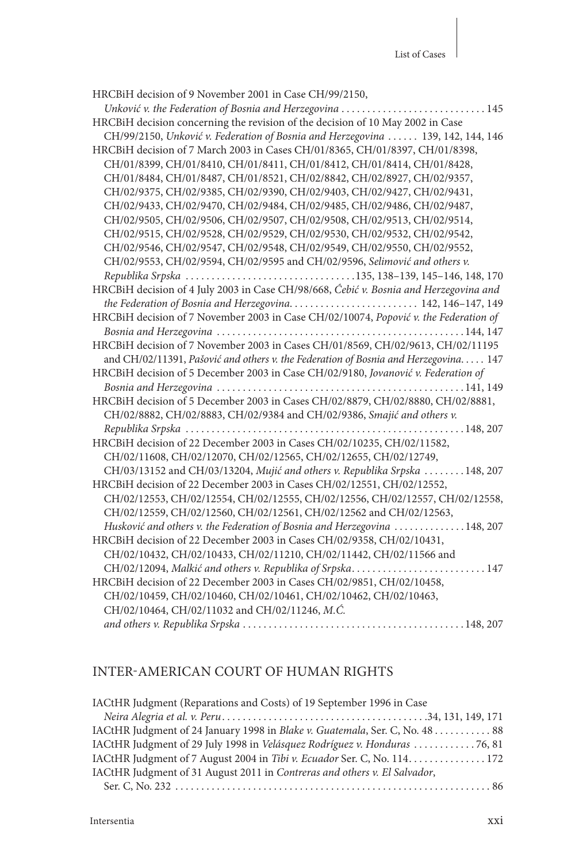| HRCBiH decision of 9 November 2001 in Case CH/99/2150,                                |
|---------------------------------------------------------------------------------------|
| Unković v. the Federation of Bosnia and Herzegovina 145                               |
| HRCBiH decision concerning the revision of the decision of 10 May 2002 in Case        |
| CH/99/2150, Unković v. Federation of Bosnia and Herzegovina  139, 142, 144, 146       |
| HRCBiH decision of 7 March 2003 in Cases CH/01/8365, CH/01/8397, CH/01/8398,          |
| CH/01/8399, CH/01/8410, CH/01/8411, CH/01/8412, CH/01/8414, CH/01/8428,               |
| CH/01/8484, CH/01/8487, CH/01/8521, CH/02/8842, CH/02/8927, CH/02/9357,               |
| CH/02/9375, CH/02/9385, CH/02/9390, CH/02/9403, CH/02/9427, CH/02/9431,               |
| CH/02/9433, CH/02/9470, CH/02/9484, CH/02/9485, CH/02/9486, CH/02/9487,               |
| CH/02/9505, CH/02/9506, CH/02/9507, CH/02/9508, CH/02/9513, CH/02/9514,               |
| CH/02/9515, CH/02/9528, CH/02/9529, CH/02/9530, CH/02/9532, CH/02/9542,               |
| CH/02/9546, CH/02/9547, CH/02/9548, CH/02/9549, CH/02/9550, CH/02/9552,               |
| CH/02/9553, CH/02/9594, CH/02/9595 and CH/02/9596, Selimović and others v.            |
| Republika Srpska 135, 138-139, 145-146, 148, 170                                      |
| HRCBiH decision of 4 July 2003 in Case CH/98/668, Ćebić v. Bosnia and Herzegovina and |
| the Federation of Bosnia and Herzegovina 142, 146-147, 149                            |
| HRCBiH decision of 7 November 2003 in Case CH/02/10074, Popović v. the Federation of  |
|                                                                                       |
| HRCBiH decision of 7 November 2003 in Cases CH/01/8569, CH/02/9613, CH/02/11195       |
| and CH/02/11391, Pašović and others v. the Federation of Bosnia and Herzegovina 147   |
| HRCBiH decision of 5 December 2003 in Case CH/02/9180, Jovanović v. Federation of     |
|                                                                                       |
| HRCBiH decision of 5 December 2003 in Cases CH/02/8879, CH/02/8880, CH/02/8881,       |
| CH/02/8882, CH/02/8883, CH/02/9384 and CH/02/9386, Smajić and others v.               |
|                                                                                       |
| HRCBiH decision of 22 December 2003 in Cases CH/02/10235, CH/02/11582,                |
| CH/02/11608, CH/02/12070, CH/02/12565, CH/02/12655, CH/02/12749,                      |
| CH/03/13152 and CH/03/13204, Mujić and others v. Republika Srpska 148, 207            |
| HRCBiH decision of 22 December 2003 in Cases CH/02/12551, CH/02/12552,                |
| CH/02/12553, CH/02/12554, CH/02/12555, CH/02/12556, CH/02/12557, CH/02/12558,         |
| CH/02/12559, CH/02/12560, CH/02/12561, CH/02/12562 and CH/02/12563,                   |
| Husković and others v. the Federation of Bosnia and Herzegovina 148, 207              |
| HRCBiH decision of 22 December 2003 in Cases CH/02/9358, CH/02/10431,                 |
| CH/02/10432, CH/02/10433, CH/02/11210, CH/02/11442, CH/02/11566 and                   |
|                                                                                       |
| HRCBiH decision of 22 December 2003 in Cases CH/02/9851, CH/02/10458,                 |
| CH/02/10459, CH/02/10460, CH/02/10461, CH/02/10462, CH/02/10463,                      |
| CH/02/10464, CH/02/11032 and CH/02/11246, M.C.                                        |
|                                                                                       |

#### INTER-AMERICAN COURT OF HUMAN RIGHTS

| IACtHR Judgment (Reparations and Costs) of 19 September 1996 in Case        |  |
|-----------------------------------------------------------------------------|--|
|                                                                             |  |
| IACtHR Judgment of 24 January 1998 in Blake v. Guatemala, Ser. C, No. 48 88 |  |
| IACtHR Judgment of 29 July 1998 in Velásquez Rodríguez v. Honduras  76, 81  |  |
| IACtHR Judgment of 7 August 2004 in Tibi v. Ecuador Ser. C, No. 114. 172    |  |
| IACtHR Judgment of 31 August 2011 in Contreras and others v. El Salvador,   |  |
|                                                                             |  |